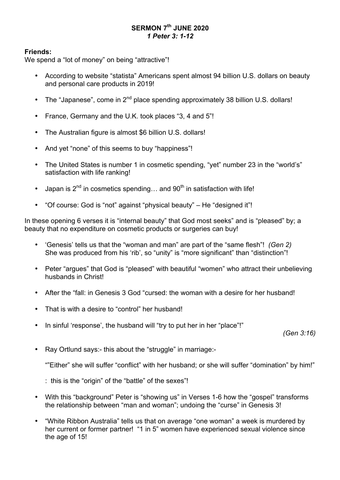# **SERMON 7th JUNE 2020** *1 Peter 3: 1-12*

## **Friends:**

We spend a "lot of money" on being "attractive"!

- According to website "statista" Americans spent almost 94 billion U.S. dollars on beauty and personal care products in 2019!
- The "Japanese", come in  $2^{nd}$  place spending approximately 38 billion U.S. dollars!
- France, Germany and the U.K. took places "3, 4 and 5"!
- The Australian figure is almost \$6 billion U.S. dollars!
- And yet "none" of this seems to buy "happiness"!
- The United States is number 1 in cosmetic spending, "yet" number 23 in the "world's" satisfaction with life ranking!
- Japan is  $2^{nd}$  in cosmetics spending... and  $90^{th}$  in satisfaction with life!
- "Of course: God is "not" against "physical beauty" He "designed it"!

In these opening 6 verses it is "internal beauty" that God most seeks" and is "pleased" by; a beauty that no expenditure on cosmetic products or surgeries can buy!

- 'Genesis' tells us that the "woman and man" are part of the "same flesh"! *(Gen 2)* She was produced from his 'rib', so "unity" is "more significant" than "distinction"!
- Peter "argues" that God is "pleased" with beautiful "women" who attract their unbelieving husbands in Christ!
- After the "fall: in Genesis 3 God "cursed: the woman with a desire for her husband!
- That is with a desire to "control" her husband!
- In sinful 'response', the husband will "try to put her in her "place"!"

*(Gen 3:16)*

• Ray Ortlund says:- this about the "struggle" in marriage:-

""Either" she will suffer "conflict" with her husband; or she will suffer "domination" by him!"

: this is the "origin" of the "battle" of the sexes"!

- With this "background" Peter is "showing us" in Verses 1-6 how the "gospel" transforms the relationship between "man and woman"; undoing the "curse" in Genesis 3!
- "White Ribbon Australia" tells us that on average "one woman" a week is murdered by her current or former partner! "1 in 5" women have experienced sexual violence since the age of 15!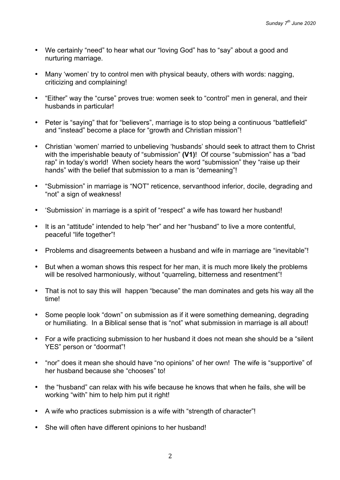- We certainly "need" to hear what our "loving God" has to "say" about a good and nurturing marriage.
- Many 'women' try to control men with physical beauty, others with words: nagging, criticizing and complaining!
- "Either" way the "curse" proves true: women seek to "control" men in general, and their husbands in particular!
- Peter is "saying" that for "believers", marriage is to stop being a continuous "battlefield" and "instead" become a place for "growth and Christian mission"!
- Christian 'women' married to unbelieving 'husbands' should seek to attract them to Christ with the imperishable beauty of "submission" **(V1)**! Of course "submission" has a "bad rap" in today's world! When society hears the word "submission" they "raise up their hands" with the belief that submission to a man is "demeaning"!
- "Submission" in marriage is "NOT" reticence, servanthood inferior, docile, degrading and "not" a sign of weakness!
- 'Submission' in marriage is a spirit of "respect" a wife has toward her husband!
- It is an "attitude" intended to help "her" and her "husband" to live a more contentful, peaceful "life together"!
- Problems and disagreements between a husband and wife in marriage are "inevitable"!
- But when a woman shows this respect for her man, it is much more likely the problems will be resolved harmoniously, without "quarreling, bitterness and resentment"!
- That is not to say this will happen "because" the man dominates and gets his way all the time!
- Some people look "down" on submission as if it were something demeaning, degrading or humiliating. In a Biblical sense that is "not" what submission in marriage is all about!
- For a wife practicing submission to her husband it does not mean she should be a "silent YES" person or "doormat"!
- "nor" does it mean she should have "no opinions" of her own! The wife is "supportive" of her husband because she "chooses" to!
- the "husband" can relax with his wife because he knows that when he fails, she will be working "with" him to help him put it right!
- A wife who practices submission is a wife with "strength of character"!
- She will often have different opinions to her husband!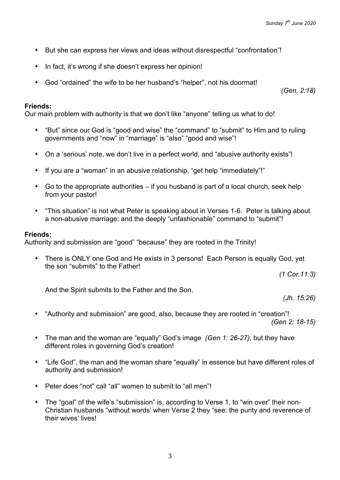- But she can express her views and ideas without disrespectful "confrontation"!
- In fact, it's wrong if she doesn't express her opinion!
- God "ordained" the wife to be her husband's "helper", not his doormat!

*(Gen. 2:18)*

#### **Friends:**

Our main problem with authority is that we don't like "anyone" telling us what to do!

- "But" since our God is "good and wise" the "command" to "submit" to Him and to ruling governments and "now" in "marriage" is "also" "good and wise"!
- On a 'serious' note, we don't live in a perfect world, and "abusive authority exists"!
- If you are a "woman" in an abusive relationship, "get help "immediately"!"
- Go to the appropriate authorities if you husband is part of a local church, seek help from your pastor!
- "This situation" is not what Peter is speaking about in Verses 1-6. Peter is talking about a non-abusive marriage: and the deeply "unfashionable" command to "submit"!

#### **Friends:**

Authority and submission are "good" "because" they are rooted in the Trinity!

• There is ONLY one God and He exists in 3 persons! Each Person is equally God, yet the son "submits" to the Father!

*(1 Cor.11:3)*

And the Spirit submits to the Father and the Son.

*(Jh. 15:26)*

- "Authority and submission" are good, also, because they are rooted in "creation"! *(Gen 2: 18-15)*
- The man and the woman are "equally" God's image *(Gen 1: 26-27)*, but they have different roles in governing God's creation!
- "Life God", the man and the woman share "equally" in essence but have different roles of authority and submission!
- Peter does "not" call "all" women to submit to "all men"!
- The "goal" of the wife's "submission" is, according to Verse 1, to "win over" their non-Christian husbands "without words' when Verse 2 they "see: the purity and reverence of their wives' lives!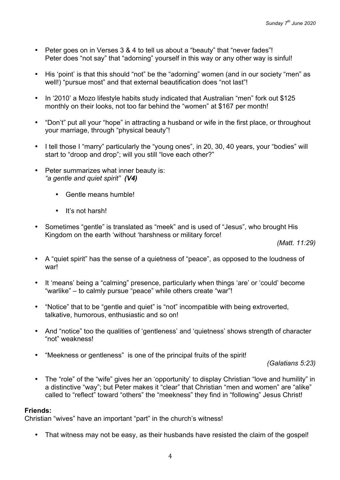- Peter goes on in Verses 3 & 4 to tell us about a "beauty" that "never fades"! Peter does "not say" that "adorning" yourself in this way or any other way is sinful!
- His 'point' is that this should "not" be the "adorning" women (and in our society "men" as well!) "pursue most" and that external beautification does "not last"!
- In '2010' a Mozo lifestyle habits study indicated that Australian "men" fork out \$125 monthly on their looks, not too far behind the "women" at \$167 per month!
- "Don't" put all your "hope" in attracting a husband or wife in the first place, or throughout your marriage, through "physical beauty"!
- I tell those I "marry" particularly the "young ones", in 20, 30, 40 years, your "bodies" will start to "droop and drop"; will you still "love each other?"
- Peter summarizes what inner beauty is: *"a gentle and quiet spirit" (V4)*
	- Gentle means humble!
	- It's not harsh!
- Sometimes "gentle" is translated as "meek" and is used of "Jesus", who brought His Kingdom on the earth 'without 'harshness or military force!

*(Matt. 11:29)*

- A "quiet spirit" has the sense of a quietness of "peace", as opposed to the loudness of war!
- It 'means' being a "calming" presence, particularly when things 'are' or 'could' become "warlike" – to calmly pursue "peace" while others create "war"!
- "Notice" that to be "gentle and quiet" is "not" incompatible with being extroverted, talkative, humorous, enthusiastic and so on!
- And "notice" too the qualities of 'gentleness' and 'quietness' shows strength of character "not" weakness!
- "Meekness or gentleness" is one of the principal fruits of the spirit!

*(Galatians 5:23)*

• The "role" of the "wife" gives her an 'opportunity' to display Christian "love and humility" in a distinctive "way"; but Peter makes it "clear" that Christian "men and women" are "alike" called to "reflect" toward "others" the "meekness" they find in "following" Jesus Christ!

### **Friends:**

Christian "wives" have an important "part" in the church's witness!

• That witness may not be easy, as their husbands have resisted the claim of the gospel!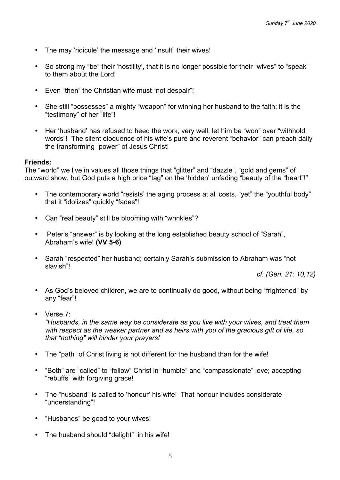- The may 'ridicule' the message and 'insult" their wives!
- So strong my "be" their 'hostility', that it is no longer possible for their "wives" to "speak" to them about the Lord!
- Even "then" the Christian wife must "not despair"!
- She still "possesses" a mighty "weapon" for winning her husband to the faith; it is the "testimony" of her "life"!
- Her 'husband' has refused to heed the work, very well, let him be "won" over "withhold words"! The silent eloquence of his wife's pure and reverent "behavior" can preach daily the transforming "power" of Jesus Christ!

#### **Friends:**

The "world" we live in values all those things that "glitter" and "dazzle", "gold and gems" of outward show, but God puts a high price "tag" on the 'hidden' unfading "beauty of the "heart"!"

- The contemporary world "resists' the aging process at all costs, "yet" the "youthful body" that it "idolizes" quickly "fades"!
- Can "real beauty" still be blooming with "wrinkles"?
- Peter's "answer" is by looking at the long established beauty school of "Sarah", Abraham's wife! **(VV 5-6)**
- Sarah "respected" her husband; certainly Sarah's submission to Abraham was "not slavish"!

*cf. (Gen. 21: 10,12)*

- As God's beloved children, we are to continually do good, without being "frightened" by any "fear"!
- Verse 7:

*"Husbands, in the same way be considerate as you live with your wives, and treat them with respect as the weaker partner and as heirs with you of the gracious gift of life, so that "nothing" will hinder your prayers!*

- The "path" of Christ living is not different for the husband than for the wife!
- "Both" are "called" to "follow" Christ in "humble" and "compassionate" love; accepting "rebuffs" with forgiving grace!
- The "husband" is called to 'honour' his wife! That honour includes considerate "understanding"!
- "Husbands" be good to your wives!
- The husband should "delight" in his wife!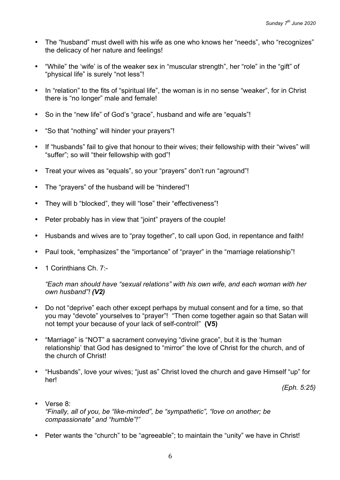- The "husband" must dwell with his wife as one who knows her "needs", who "recognizes" the delicacy of her nature and feelings!
- "While" the 'wife' is of the weaker sex in "muscular strength", her "role" in the "gift" of "physical life" is surely "not less"!
- In "relation" to the fits of "spiritual life", the woman is in no sense "weaker", for in Christ there is "no longer" male and female!
- So in the "new life" of God's "grace", husband and wife are "equals"!
- "So that "nothing" will hinder your prayers"!
- If "husbands" fail to give that honour to their wives; their fellowship with their "wives" will "suffer"; so will "their fellowship with god"!
- Treat your wives as "equals", so your "prayers" don't run "aground"!
- The "prayers" of the husband will be "hindered"!
- They will b "blocked", they will "lose" their "effectiveness"!
- Peter probably has in view that "joint" prayers of the couple!
- Husbands and wives are to "pray together", to call upon God, in repentance and faith!
- Paul took, "emphasizes" the "importance" of "prayer" in the "marriage relationship"!
- 1 Corinthians Ch. 7:-

*"Each man should have "sexual relations" with his own wife, and each woman with her own husband"! (V2)*

- Do not "deprive" each other except perhaps by mutual consent and for a time, so that you may "devote" yourselves to "prayer"! "Then come together again so that Satan will not tempt your because of your lack of self-control!" **(V5)**
- "Marriage" is "NOT" a sacrament conveying "divine grace", but it is the 'human relationship' that God has designed to "mirror" the love of Christ for the church, and of the church of Christ!
- "Husbands", love your wives; "just as" Christ loved the church and gave Himself "up" for her!

*(Eph. 5:25)*

- Verse 8: *"Finally, all of you, be "like-minded", be "sympathetic", "love on another; be compassionate" and "humble"!"*
- Peter wants the "church" to be "agreeable"; to maintain the "unity" we have in Christ!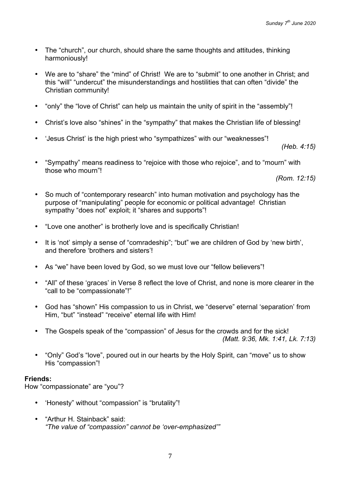- The "church", our church, should share the same thoughts and attitudes, thinking harmoniously!
- We are to "share" the "mind" of Christ! We are to "submit" to one another in Christ; and this "will" "undercut" the misunderstandings and hostilities that can often "divide" the Christian community!
- "only" the "love of Christ" can help us maintain the unity of spirit in the "assembly"!
- Christ's love also "shines" in the "sympathy" that makes the Christian life of blessing!
- 'Jesus Christ' is the high priest who "sympathizes" with our "weaknesses"!

*(Heb. 4:15)*

• "Sympathy" means readiness to "rejoice with those who rejoice", and to "mourn" with those who mourn"!

*(Rom. 12:15)*

- So much of "contemporary research" into human motivation and psychology has the purpose of "manipulating" people for economic or political advantage! Christian sympathy "does not" exploit; it "shares and supports"!
- "Love one another" is brotherly love and is specifically Christian!
- It is 'not' simply a sense of "comradeship"; "but" we are children of God by 'new birth', and therefore 'brothers and sisters'!
- As "we" have been loved by God, so we must love our "fellow believers"!
- "All" of these 'graces' in Verse 8 reflect the love of Christ, and none is more clearer in the "call to be "compassionate"!"
- God has "shown" His compassion to us in Christ, we "deserve" eternal 'separation' from Him, "but" "instead" "receive" eternal life with Him!
- The Gospels speak of the "compassion" of Jesus for the crowds and for the sick! *(Matt. 9:36, Mk. 1:41, Lk. 7:13)*
- "Only" God's "love", poured out in our hearts by the Holy Spirit, can "move" us to show His "compassion"!

### **Friends:**

How "compassionate" are "you"?

- 'Honesty" without "compassion" is "brutality"!
- "Arthur H. Stainback" said: *"The value of "compassion" cannot be 'over-emphasized'"*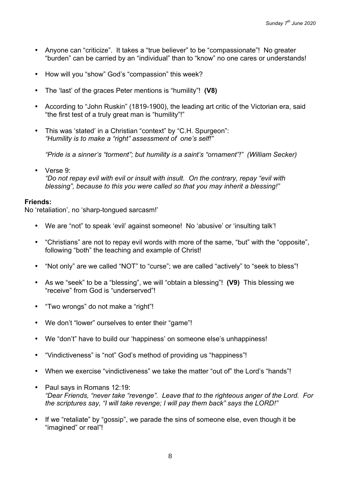- Anyone can "criticize". It takes a "true believer" to be "compassionate"! No greater "burden" can be carried by an "individual" than to "know" no one cares or understands!
- How will you "show" God's "compassion" this week?
- The 'last' of the graces Peter mentions is "humility"! **(V8)**
- According to "John Ruskin" (1819-1900), the leading art critic of the Victorian era, said "the first test of a truly great man is "humility"!"
- This was 'stated' in a Christian "context" by "C.H. Spurgeon": *"Humility is to make a "right" assessment of one's self!"*

*"Pride is a sinner's "torment"; but humility is a saint's "ornament"!" (William Secker)*

• Verse 9: *"Do not repay evil with evil or insult with insult. On the contrary, repay "evil with blessing", because to this you were called so that you may inherit a blessing!"*

#### **Friends:**

No 'retaliation', no 'sharp-tongued sarcasm!'

- We are "not" to speak 'evil' against someone! No 'abusive' or 'insulting talk'!
- "Christians" are not to repay evil words with more of the same, "but" with the "opposite", following "both" the teaching and example of Christ!
- "Not only" are we called "NOT" to "curse"; we are called "actively" to "seek to bless"!
- As we "seek" to be a "blessing", we will "obtain a blessing"! **(V9)** This blessing we "receive" from God is "underserved"!
- "Two wrongs" do not make a "right"!
- We don't "lower" ourselves to enter their "game"!
- We "don't" have to build our 'happiness' on someone else's unhappiness!
- "Vindictiveness" is "not" God's method of providing us "happiness"!
- When we exercise "vindictiveness" we take the matter "out of" the Lord's "hands"!
- Paul says in Romans 12:19: *"Dear Friends, "never take "revenge". Leave that to the righteous anger of the Lord. For the scriptures say, "I will take revenge; I will pay them back" says the LORD!"*
- If we "retaliate" by "gossip", we parade the sins of someone else, even though it be "imagined" or real"!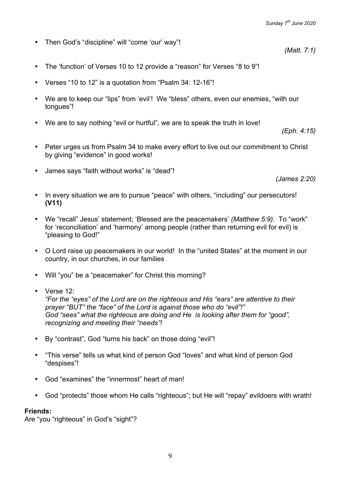*(Matt. 7:1)*

- Then God's "discipline" will "come 'our' way"!
- The 'function' of Verses 10 to 12 provide a "reason" for Verses "8 to 9"!
- Verses "10 to 12" is a quotation from "Psalm 34: 12-16"!
- We are to keep our "lips" from 'evil'! We "bless" others, even our enemies, "with our tongues"!
- We are to say nothing "evil or hurtful", we are to speak the truth in love!

*(Eph. 4:15)*

- Peter urges us from Psalm 34 to make every effort to live out our commitment to Christ by giving "evidence" in good works!
- James says "faith without works" is "dead"!

*(James 2:20)*

- In every situation we are to pursue "peace" with others, "including" our persecutors! **(V11)**
- We "recall" Jesus' statement; 'Blessed are the peacemakers' *(Matthew 5:9)*. To "work" for 'reconciliation' and 'harmony' among people (rather than returning evil for evil) is "pleasing to God!"
- O Lord raise up peacemakers in our world! In the "united States" at the moment in our country, in our churches, in our families
- Will "you" be a "peacemaker" for Christ this morning?
- Verse 12<sup>-</sup>

*"For the "eyes" of the Lord are on the righteous and His "ears" are attentive to their prayer "BUT" the "face" of the Lord is against those who do "evil"!" God "sees" what the righteous are doing and He is looking after them for "good", recognizing and meeting their "needs"!*

- By "contrast", God "turns his back" on those doing "evil"!
- "This verse" tells us what kind of person God "loves" and what kind of person God "despises"!
- God "examines" the "innermost" heart of man!
- God "protects" those whom He calls "righteous"; but He will "repay" evildoers with wrath!

# **Friends:**

Are "you "righteous" in God's "sight"?